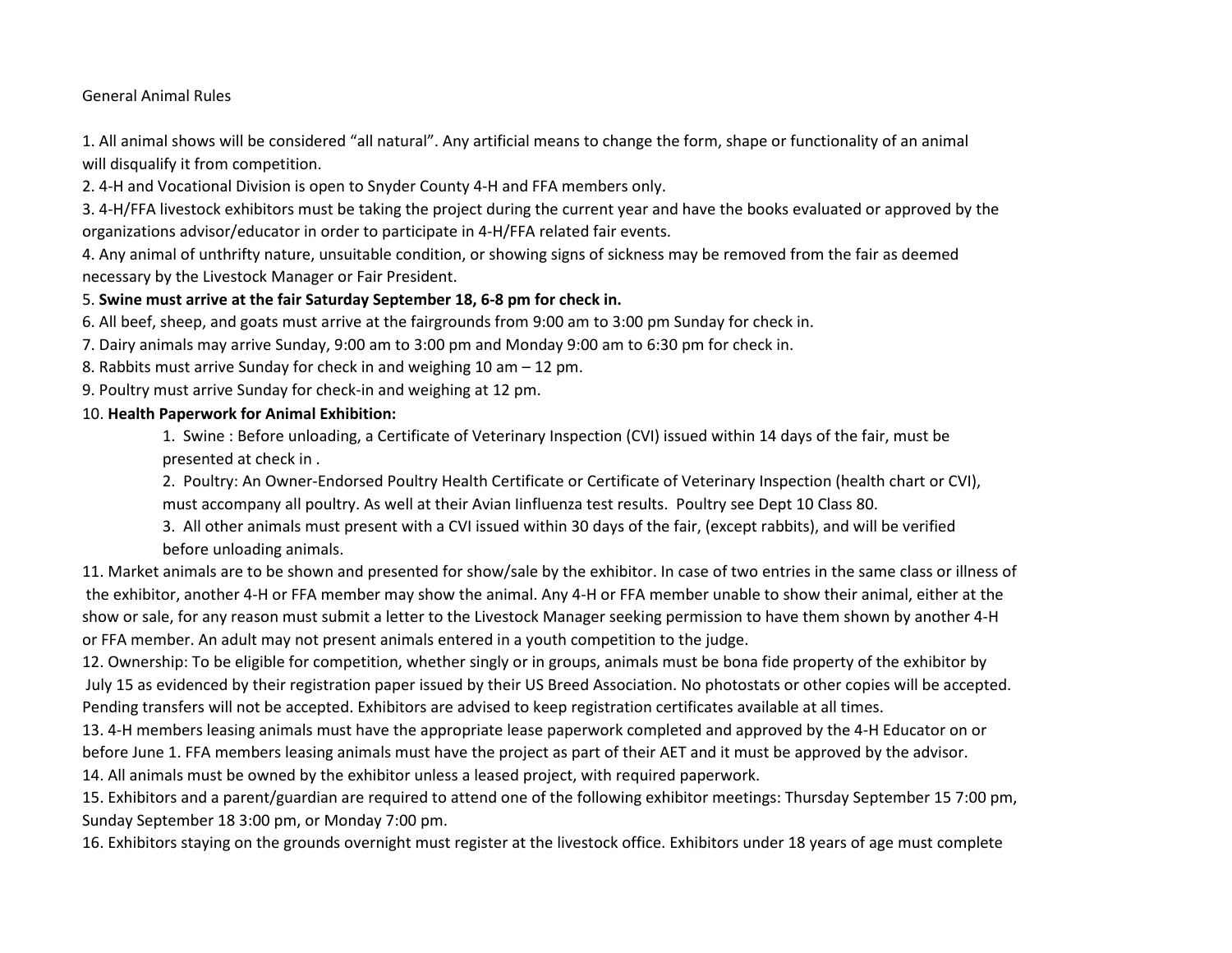General Animal Rules

1. All animal shows will be considered "all natural". Any artificial means to change the form, shape or functionality of an animal will disqualify it from competition.

2. 4-H and Vocational Division is open to Snyder County 4-H and FFA members only.

3. 4-H/FFA livestock exhibitors must be taking the project during the current year and have the books evaluated or approved by the organizations advisor/educator in order to participate in 4-H/FFA related fair events.

4. Any animal of unthrifty nature, unsuitable condition, or showing signs of sickness may be removed from the fair as deemed necessary by the Livestock Manager or Fair President.

## 5. **Swine must arrive at the fair Saturday September 18, 6-8 pm for check in.**

6. All beef, sheep, and goats must arrive at the fairgrounds from 9:00 am to 3:00 pm Sunday for check in.

7. Dairy animals may arrive Sunday, 9:00 am to 3:00 pm and Monday 9:00 am to 6:30 pm for check in.

- 8. Rabbits must arrive Sunday for check in and weighing 10 am 12 pm.
- 9. Poultry must arrive Sunday for check-in and weighing at 12 pm.

## 10. **Health Paperwork for Animal Exhibition:**

1. Swine : Before unloading, a Certificate of Veterinary Inspection (CVI) issued within 14 days of the fair, must be presented at check in .

2. Poultry: An Owner-Endorsed Poultry Health Certificate or Certificate of Veterinary Inspection (health chart or CVI), must accompany all poultry. As well at their Avian Iinfluenza test results. Poultry see Dept 10 Class 80.

3. All other animals must present with a CVI issued within 30 days of the fair, (except rabbits), and will be verified before unloading animals.

11. Market animals are to be shown and presented for show/sale by the exhibitor. In case of two entries in the same class or illness of the exhibitor, another 4-H or FFA member may show the animal. Any 4-H or FFA member unable to show their animal, either at the show or sale, for any reason must submit a letter to the Livestock Manager seeking permission to have them shown by another 4-H or FFA member. An adult may not present animals entered in a youth competition to the judge.

12. Ownership: To be eligible for competition, whether singly or in groups, animals must be bona fide property of the exhibitor by July 15 as evidenced by their registration paper issued by their US Breed Association. No photostats or other copies will be accepted. Pending transfers will not be accepted. Exhibitors are advised to keep registration certificates available at all times.

13. 4-H members leasing animals must have the appropriate lease paperwork completed and approved by the 4-H Educator on or before June 1. FFA members leasing animals must have the project as part of their AET and it must be approved by the advisor.

14. All animals must be owned by the exhibitor unless a leased project, with required paperwork.

15. Exhibitors and a parent/guardian are required to attend one of the following exhibitor meetings: Thursday September 15 7:00 pm, Sunday September 18 3:00 pm, or Monday 7:00 pm.

16. Exhibitors staying on the grounds overnight must register at the livestock office. Exhibitors under 18 years of age must complete